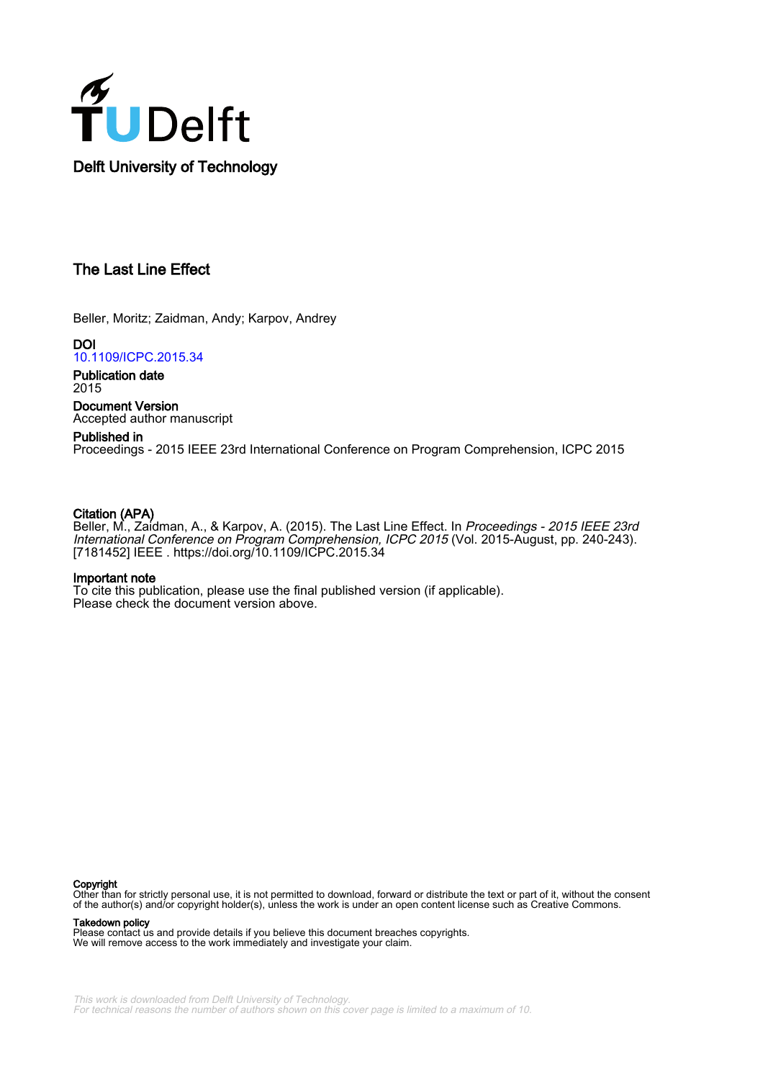

# The Last Line Effect

Beller, Moritz; Zaidman, Andy; Karpov, Andrey

DOI [10.1109/ICPC.2015.34](https://doi.org/10.1109/ICPC.2015.34)

Publication date 2015

Document Version Accepted author manuscript

# Published in

Proceedings - 2015 IEEE 23rd International Conference on Program Comprehension, ICPC 2015

# Citation (APA)

Beller, M., Zaidman, A., & Karpov, A. (2015). The Last Line Effect. In *Proceedings - 2015 IEEE 23rd* International Conference on Program Comprehension, ICPC 2015 (Vol. 2015-August, pp. 240-243). [7181452] IEEE .<https://doi.org/10.1109/ICPC.2015.34>

# Important note

To cite this publication, please use the final published version (if applicable). Please check the document version above.

#### Copyright

Other than for strictly personal use, it is not permitted to download, forward or distribute the text or part of it, without the consent of the author(s) and/or copyright holder(s), unless the work is under an open content license such as Creative Commons.

Takedown policy

Please contact us and provide details if you believe this document breaches copyrights. We will remove access to the work immediately and investigate your claim.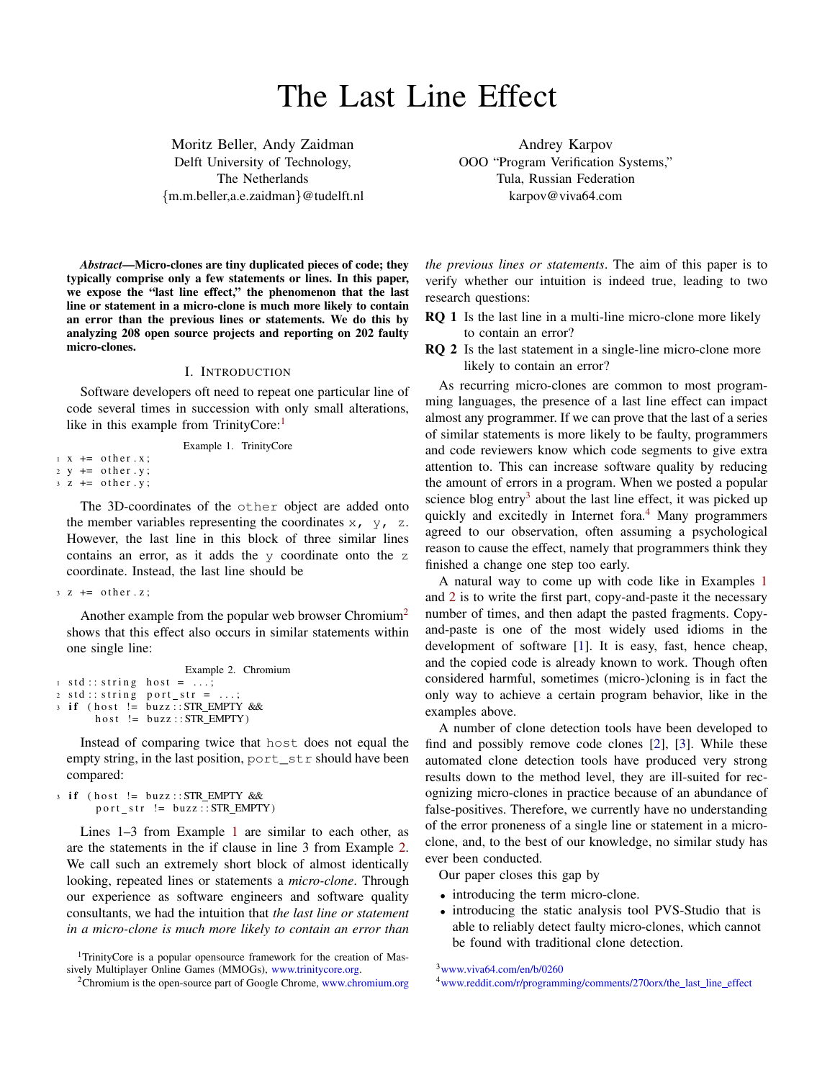# The Last Line Effect

Moritz Beller, Andy Zaidman Delft University of Technology, The Netherlands {m.m.beller,a.e.zaidman}@tudelft.nl

Andrey Karpov OOO "Program Verification Systems," Tula, Russian Federation karpov@viva64.com

*Abstract*—Micro-clones are tiny duplicated pieces of code; they typically comprise only a few statements or lines. In this paper, we expose the "last line effect," the phenomenon that the last line or statement in a micro-clone is much more likely to contain an error than the previous lines or statements. We do this by analyzing 208 open source projects and reporting on 202 faulty micro-clones.

#### I. INTRODUCTION

Software developers oft need to repeat one particular line of code several times in succession with only small alterations, like in this example from TrinityCore:<sup>[1](#page-1-0)</sup>

Example 1. TrinityCore

<span id="page-1-2"></span> $1 \times += \text{other} \cdot x$ ;  $2 y \leftarrow \text{other } y;$  $3 \text{ } z \text{ } += \text{ other } y$ ;

The 3D-coordinates of the other object are added onto the member variables representing the coordinates  $x_1$ ,  $y_1$ , z. However, the last line in this block of three similar lines contains an error, as it adds the y coordinate onto the z coordinate. Instead, the last line should be

```
3 \times 7 = \text{other } x;
```
Another example from the popular web browser Chromium<sup>[2](#page-1-1)</sup> shows that this effect also occurs in similar statements within one single line:

```
Example 2. Chromium
1 \text{ std} :: string host = ...;2 \text{ std} :: string port\_str = ...;3 if (host != buzz:: STR_EMPTY &&
       host != buzz :: STR\_EMPTY)
```
Instead of comparing twice that host does not equal the empty string, in the last position, port\_str should have been compared:

```
3 if (host != buzz:: STR_EMPTY &&
      port\_str := buzz::STR\_EMPTY)
```
Lines 1–3 from Example [1](#page-1-2) are similar to each other, as are the statements in the if clause in line 3 from Example [2.](#page-1-3) We call such an extremely short block of almost identically looking, repeated lines or statements a *micro-clone*. Through our experience as software engineers and software quality consultants, we had the intuition that *the last line or statement in a micro-clone is much more likely to contain an error than*

<span id="page-1-0"></span><sup>1</sup>TrinityCore is a popular opensource framework for the creation of Massively Multiplayer Online Games (MMOGs), [www.trinitycore.org.](http://www.trinitycore.org)

*the previous lines or statements*. The aim of this paper is to verify whether our intuition is indeed true, leading to two research questions:

- RQ 1 Is the last line in a multi-line micro-clone more likely to contain an error?
- RQ 2 Is the last statement in a single-line micro-clone more likely to contain an error?

As recurring micro-clones are common to most programming languages, the presence of a last line effect can impact almost any programmer. If we can prove that the last of a series of similar statements is more likely to be faulty, programmers and code reviewers know which code segments to give extra attention to. This can increase software quality by reducing the amount of errors in a program. When we posted a popular science blog entry<sup>[3](#page-1-4)</sup> about the last line effect, it was picked up quickly and excitedly in Internet fora.<sup>[4](#page-1-5)</sup> Many programmers agreed to our observation, often assuming a psychological reason to cause the effect, namely that programmers think they finished a change one step too early.

A natural way to come up with code like in Examples [1](#page-1-2) and [2](#page-1-3) is to write the first part, copy-and-paste it the necessary number of times, and then adapt the pasted fragments. Copyand-paste is one of the most widely used idioms in the development of software [\[1\]](#page-4-0). It is easy, fast, hence cheap, and the copied code is already known to work. Though often considered harmful, sometimes (micro-)cloning is in fact the only way to achieve a certain program behavior, like in the examples above.

A number of clone detection tools have been developed to find and possibly remove code clones [\[2\]](#page-4-1), [\[3\]](#page-4-2). While these automated clone detection tools have produced very strong results down to the method level, they are ill-suited for recognizing micro-clones in practice because of an abundance of false-positives. Therefore, we currently have no understanding of the error proneness of a single line or statement in a microclone, and, to the best of our knowledge, no similar study has ever been conducted.

Our paper closes this gap by

- introducing the term micro-clone.
- introducing the static analysis tool PVS-Studio that is able to reliably detect faulty micro-clones, which cannot be found with traditional clone detection.

<span id="page-1-4"></span><sup>3</sup>[www.viva64.com/en/b/0260](http://www.viva64.com/en/b/0260)

<span id="page-1-5"></span><sup>4</sup>[www.reddit.com/r/programming/comments/270orx/the](http://www.reddit.com/r/programming/comments/270orx/the_last_line_effect/) last line effect

<span id="page-1-1"></span><sup>&</sup>lt;sup>2</sup>Chromium is the open-source part of Google Chrome, [www.chromium.org](http://www.chromium.org/)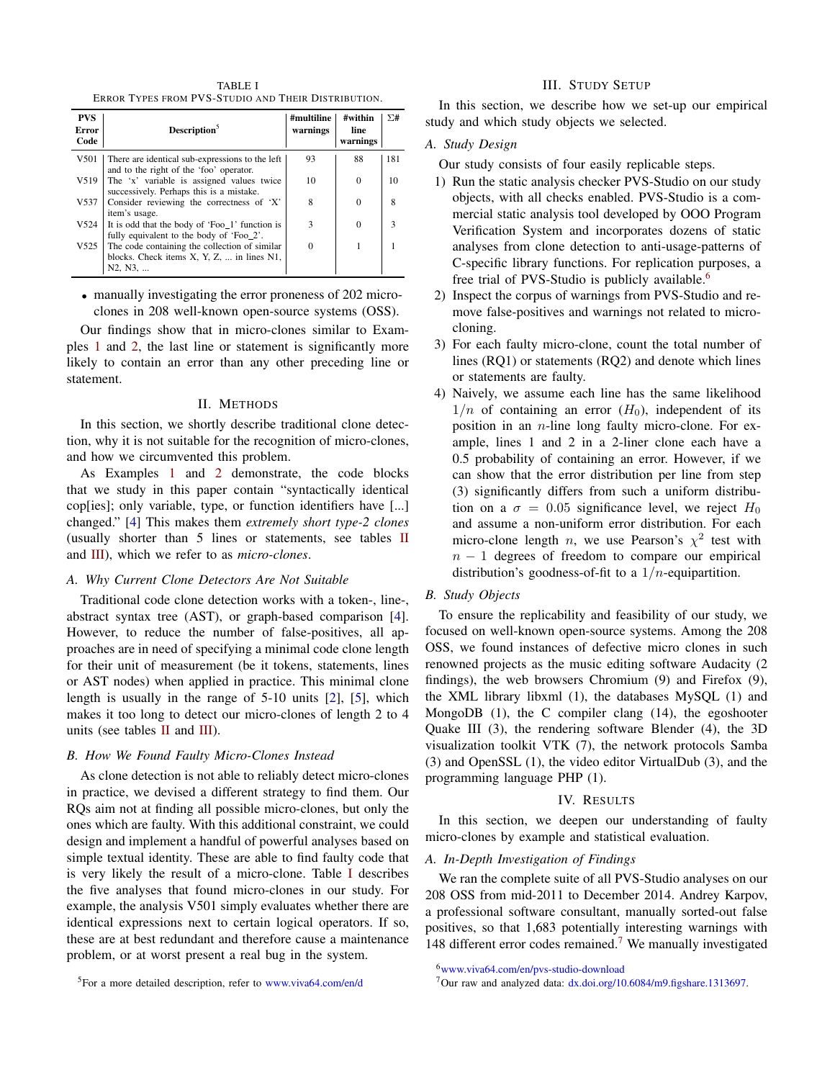TABLE I ERROR TYPES FROM PVS-STUDIO AND THEIR DISTRIBUTION.

<span id="page-2-0"></span>

| <b>PVS</b><br>Error<br>Code | Description <sup>5</sup>                                                                                       | #multiline<br>warnings | #within<br>line<br>warnings | $\Sigma$ # |
|-----------------------------|----------------------------------------------------------------------------------------------------------------|------------------------|-----------------------------|------------|
| V501                        | There are identical sub-expressions to the left<br>and to the right of the 'foo' operator.                     | 93                     | 88                          | 181        |
| V519                        | The 'x' variable is assigned values twice<br>successively. Perhaps this is a mistake.                          | 10                     | $\Omega$                    | 10         |
| V537                        | Consider reviewing the correctness of 'X'<br>item's usage.                                                     | 8                      | 0                           | 8          |
| V524                        | It is odd that the body of 'Foo 1' function is<br>fully equivalent to the body of 'Foo 2'.                     | 3                      | 0                           | ٦          |
| V525                        | The code containing the collection of similar<br>blocks. Check items $X, Y, Z, \ldots$ in lines N1,<br>N2, N3, |                        |                             |            |

• manually investigating the error proneness of 202 microclones in 208 well-known open-source systems (OSS).

Our findings show that in micro-clones similar to Examples [1](#page-1-2) and [2,](#page-1-3) the last line or statement is significantly more likely to contain an error than any other preceding line or statement.

## II. METHODS

In this section, we shortly describe traditional clone detection, why it is not suitable for the recognition of micro-clones, and how we circumvented this problem.

As Examples [1](#page-1-2) and [2](#page-1-3) demonstrate, the code blocks that we study in this paper contain "syntactically identical cop[ies]; only variable, type, or function identifiers have [...] changed." [\[4\]](#page-4-3) This makes them *extremely short type-2 clones* (usually shorter than 5 lines or statements, see tables [II](#page-3-0) and [III\)](#page-3-1), which we refer to as *micro-clones*.

# *A. Why Current Clone Detectors Are Not Suitable*

Traditional code clone detection works with a token-, line-, abstract syntax tree (AST), or graph-based comparison [\[4\]](#page-4-3). However, to reduce the number of false-positives, all approaches are in need of specifying a minimal code clone length for their unit of measurement (be it tokens, statements, lines or AST nodes) when applied in practice. This minimal clone length is usually in the range of 5-10 units [\[2\]](#page-4-1), [\[5\]](#page-4-4), which makes it too long to detect our micro-clones of length 2 to 4 units (see tables  $II$  and  $III$ ).

# *B. How We Found Faulty Micro-Clones Instead*

As clone detection is not able to reliably detect micro-clones in practice, we devised a different strategy to find them. Our RQs aim not at finding all possible micro-clones, but only the ones which are faulty. With this additional constraint, we could design and implement a handful of powerful analyses based on simple textual identity. These are able to find faulty code that is very likely the result of a micro-clone. Table [I](#page-2-0) describes the five analyses that found micro-clones in our study. For example, the analysis V501 simply evaluates whether there are identical expressions next to certain logical operators. If so, these are at best redundant and therefore cause a maintenance problem, or at worst present a real bug in the system.

<sup>5</sup>For a more detailed description, refer to [www.viva64.com/en/d](http://www.viva64.com/en/d/)

#### III. STUDY SETUP

In this section, we describe how we set-up our empirical study and which study objects we selected.

#### *A. Study Design*

Our study consists of four easily replicable steps.

- 1) Run the static analysis checker PVS-Studio on our study objects, with all checks enabled. PVS-Studio is a commercial static analysis tool developed by OOO Program Verification System and incorporates dozens of static analyses from clone detection to anti-usage-patterns of C-specific library functions. For replication purposes, a free trial of PVS-Studio is publicly available.<sup>[6](#page-2-1)</sup>
- 2) Inspect the corpus of warnings from PVS-Studio and remove false-positives and warnings not related to microcloning.
- 3) For each faulty micro-clone, count the total number of lines (RQ1) or statements (RQ2) and denote which lines or statements are faulty.
- 4) Naively, we assume each line has the same likelihood  $1/n$  of containing an error  $(H_0)$ , independent of its position in an  $n$ -line long faulty micro-clone. For example, lines 1 and 2 in a 2-liner clone each have a 0.5 probability of containing an error. However, if we can show that the error distribution per line from step (3) significantly differs from such a uniform distribution on a  $\sigma = 0.05$  significance level, we reject  $H_0$ and assume a non-uniform error distribution. For each micro-clone length *n*, we use Pearson's  $\chi^2$  test with  $n - 1$  degrees of freedom to compare our empirical distribution's goodness-of-fit to a  $1/n$ -equipartition.

## *B. Study Objects*

To ensure the replicability and feasibility of our study, we focused on well-known open-source systems. Among the 208 OSS, we found instances of defective micro clones in such renowned projects as the music editing software Audacity (2 findings), the web browsers Chromium (9) and Firefox (9), the XML library libxml (1), the databases MySQL (1) and MongoDB (1), the C compiler clang (14), the egoshooter Quake III (3), the rendering software Blender (4), the 3D visualization toolkit VTK (7), the network protocols Samba (3) and OpenSSL (1), the video editor VirtualDub (3), and the programming language PHP (1).

# IV. RESULTS

In this section, we deepen our understanding of faulty micro-clones by example and statistical evaluation.

### *A. In-Depth Investigation of Findings*

We ran the complete suite of all PVS-Studio analyses on our 208 OSS from mid-2011 to December 2014. Andrey Karpov, a professional software consultant, manually sorted-out false positives, so that 1,683 potentially interesting warnings with 148 different error codes remained.<sup>[7](#page-2-2)</sup> We manually investigated

<span id="page-2-1"></span><sup>6</sup>[www.viva64.com/en/pvs-studio-download](http://www.viva64.com/en/pvs-studio-download/)

<span id="page-2-2"></span><sup>7</sup>Our raw and analyzed data: [dx.doi.org/10.6084/m9.figshare.1313697.](http://dx.doi.org/10.6084/m9.figshare.1313697)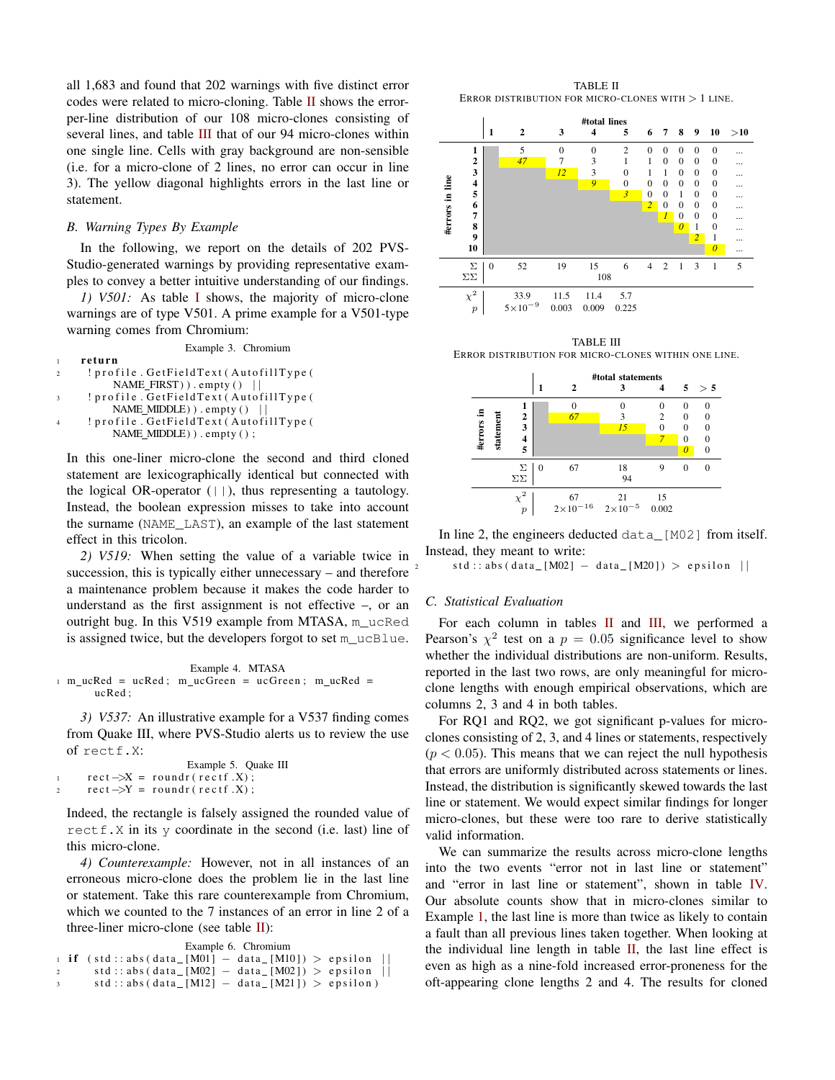all 1,683 and found that 202 warnings with five distinct error codes were related to micro-cloning. Table [II](#page-3-0) shows the errorper-line distribution of our 108 micro-clones consisting of several lines, and table [III](#page-3-1) that of our 94 micro-clones within one single line. Cells with gray background are non-sensible (i.e. for a micro-clone of 2 lines, no error can occur in line 3). The yellow diagonal highlights errors in the last line or statement.

# *B. Warning Types By Example*

In the following, we report on the details of 202 PVS-Studio-generated warnings by providing representative examples to convey a better intuitive understanding of our findings.

*1) V501:* As table [I](#page-2-0) shows, the majority of micro-clone warnings are of type V501. A prime example for a V501-type warning comes from Chromium:

Example 3. Chromium r e turn ! profile. GetFieldText (AutofillType (  $NAME$  FIRST  $)$  ) . empty  $()$  | ! profile. GetFieldText (AutofillType ( NAME\_MIDDLE) ) . empty ( ) ! profile . GetFieldText (AutofillType ( NAME\_MIDDLE) ) . empty ();

In this one-liner micro-clone the second and third cloned statement are lexicographically identical but connected with the logical OR-operator  $(| \rangle)$ , thus representing a tautology. Instead, the boolean expression misses to take into account the surname (NAME\_LAST), an example of the last statement effect in this tricolon.

*2) V519:* When setting the value of a variable twice in succession, this is typically either unnecessary – and therefore a maintenance problem because it makes the code harder to understand as the first assignment is not effective –, or an outright bug. In this V519 example from MTASA, m\_ucRed is assigned twice, but the developers forgot to set m\_ucBlue.

```
Example 4. MTASA
1 m ucRed = ucRed; m ucGreen = ucGreen; m ucRed =
      ucRed ;
```
*3) V537:* An illustrative example for a V537 finding comes from Quake III, where PVS-Studio alerts us to review the use of rectf.X:

```
Example 5. Quake III
        rect \rightarrow X = roundr (rect f. X);\text{rect} \rightarrow Y = \text{roundr}(\text{rect} \cdot X);
```
Indeed, the rectangle is falsely assigned the rounded value of rectf.X in its y coordinate in the second (i.e. last) line of this micro-clone.

*4) Counterexample:* However, not in all instances of an erroneous micro-clone does the problem lie in the last line or statement. Take this rare counterexample from Chromium, which we counted to the 7 instances of an error in line 2 of a three-liner micro-clone (see table  $II$ ):

Example 6. Chromium

```
1 if (std:: abs (data_[M01] – data_[M10]) > epsilon
2 \quad \text{std} :: abs (data_{M02}] - data_{M02}) > epsilon\text{std} :: \text{abs} (\text{data} [\text{M12}] - \text{data} [\text{M21}]) > \text{epsilon}
```
TABLE II ERROR DISTRIBUTION FOR MICRO-CLONES WITH > 1 LINE.

<span id="page-3-0"></span>

<span id="page-3-1"></span>TABLE III ERROR DISTRIBUTION FOR MICRO-CLONES WITHIN ONE LINE.



In line 2, the engineers deducted data [M02] from itself. Instead, they meant to write:

 $std :: abs (data_{M02}] - data_{M20}] > epsilon ||$ 

#### *C. Statistical Evaluation*

For each column in tables  $II$  and  $III$ , we performed a Pearson's  $\chi^2$  test on a  $p = 0.05$  significance level to show whether the individual distributions are non-uniform. Results, reported in the last two rows, are only meaningful for microclone lengths with enough empirical observations, which are columns 2, 3 and 4 in both tables.

For RQ1 and RQ2, we got significant p-values for microclones consisting of 2, 3, and 4 lines or statements, respectively  $(p < 0.05)$ . This means that we can reject the null hypothesis that errors are uniformly distributed across statements or lines. Instead, the distribution is significantly skewed towards the last line or statement. We would expect similar findings for longer micro-clones, but these were too rare to derive statistically valid information.

We can summarize the results across micro-clone lengths into the two events "error not in last line or statement" and "error in last line or statement", shown in table [IV.](#page-4-5) Our absolute counts show that in micro-clones similar to Example [1,](#page-1-2) the last line is more than twice as likely to contain a fault than all previous lines taken together. When looking at the individual line length in table [II,](#page-3-0) the last line effect is even as high as a nine-fold increased error-proneness for the oft-appearing clone lengths 2 and 4. The results for cloned